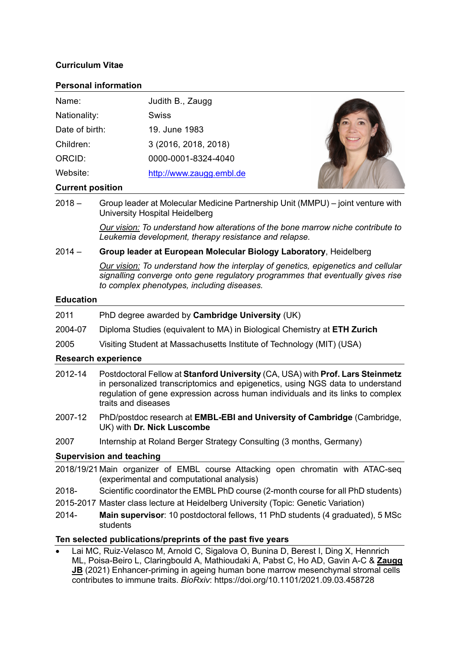# **Curriculum Vitae**

### **Personal information**

| Name:          | Judith B., Zaugg         |  |
|----------------|--------------------------|--|
| Nationality:   | <b>Swiss</b>             |  |
| Date of birth: | 19. June 1983            |  |
| Children:      | 3 (2016, 2018, 2018)     |  |
| ORCID:         | 0000-0001-8324-4040      |  |
| Website:       | http://www.zaugg.embl.de |  |
|                |                          |  |

### **Current position**

2018 – Group leader at Molecular Medicine Partnership Unit (MMPU) – joint venture with University Hospital Heidelberg

> *Our vision: To understand how alterations of the bone marrow niche contribute to Leukemia development, therapy resistance and relapse.*

## 2014 – **Group leader at European Molecular Biology Laboratory**, Heidelberg

*Our vision: To understand how the interplay of genetics, epigenetics and cellular signalling converge onto gene regulatory programmes that eventually gives rise to complex phenotypes, including diseases.* 

### **Education**

- 2011 PhD degree awarded by **Cambridge University** (UK)
- 2004-07 Diploma Studies (equivalent to MA) in Biological Chemistry at **ETH Zurich**
- 2005 Visiting Student at Massachusetts Institute of Technology (MIT) (USA)

## **Research experience**

- 2012-14 Postdoctoral Fellow at **Stanford University** (CA, USA) with **Prof. Lars Steinmetz** in personalized transcriptomics and epigenetics, using NGS data to understand regulation of gene expression across human individuals and its links to complex traits and diseases
- 2007-12 PhD/postdoc research at **EMBL-EBI and University of Cambridge** (Cambridge, UK) with **Dr. Nick Luscombe**
- 2007 Internship at Roland Berger Strategy Consulting (3 months, Germany)

## **Supervision and teaching**

- 2018/19/21 Main organizer of EMBL course Attacking open chromatin with ATAC-seq (experimental and computational analysis)
- 2018- Scientific coordinator the EMBL PhD course (2-month course for all PhD students)
- 2015-2017 Master class lecture at Heidelberg University (Topic: Genetic Variation)
- 2014- **Main supervisor**: 10 postdoctoral fellows, 11 PhD students (4 graduated), 5 MSc students

## **Ten selected publications/preprints of the past five years**

• Lai MC, Ruiz-Velasco M, Arnold C, Sigalova O, Bunina D, Berest I, Ding X, Hennrich ML, Poisa-Beiro L, Claringbould A, Mathioudaki A, Pabst C, Ho AD, Gavin A-C & **Zaugg JB** (2021) Enhancer-priming in ageing human bone marrow mesenchymal stromal cells contributes to immune traits. *BioRxiv*: https://doi.org/10.1101/2021.09.03.458728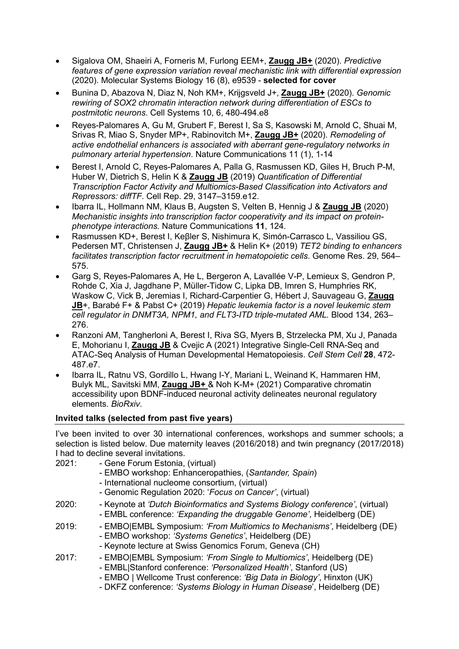- Sigalova OM, Shaeiri A, Forneris M, Furlong EEM+, **Zaugg JB+** (2020). *Predictive features of gene expression variation reveal mechanistic link with differential expression* (2020). Molecular Systems Biology 16 (8), e9539 - **selected for cover**
- Bunina D, Abazova N, Diaz N, Noh KM+, Krijgsveld J+, **Zaugg JB+** (2020). *Genomic rewiring of SOX2 chromatin interaction network during differentiation of ESCs to postmitotic neurons*. Cell Systems 10, 6, 480-494.e8
- Reyes-Palomares A, Gu M, Grubert F, Berest I, Sa S, Kasowski M, Arnold C, Shuai M, Srivas R, Miao S, Snyder MP+, Rabinovitch M+, **Zaugg JB+** (2020). *Remodeling of active endothelial enhancers is associated with aberrant gene-regulatory networks in pulmonary arterial hypertension*. Nature Communications 11 (1), 1-14
- Berest I, Arnold C, Reyes-Palomares A, Palla G, Rasmussen KD, Giles H, Bruch P-M, Huber W, Dietrich S, Helin K & **Zaugg JB** (2019) *Quantification of Differential Transcription Factor Activity and Multiomics-Based Classification into Activators and Repressors: diffTF*. Cell Rep. 29, 3147–3159.e12.
- Ibarra IL, Hollmann NM, Klaus B, Augsten S, Velten B, Hennig J & **Zaugg JB** (2020) *Mechanistic insights into transcription factor cooperativity and its impact on proteinphenotype interactions.* Nature Communications **11**, 124.
- Rasmussen KD+, Berest I, Keβler S, Nishimura K, Simón-Carrasco L, Vassiliou GS, Pedersen MT, Christensen J, **Zaugg JB+** & Helin K+ (2019) *TET2 binding to enhancers facilitates transcription factor recruitment in hematopoietic cells*. Genome Res. 29, 564– 575.
- Garg S, Reyes-Palomares A, He L, Bergeron A, Lavallée V-P, Lemieux S, Gendron P, Rohde C, Xia J, Jagdhane P, Müller-Tidow C, Lipka DB, Imren S, Humphries RK, Waskow C, Vick B, Jeremias I, Richard-Carpentier G, Hébert J, Sauvageau G, **Zaugg JB**+, Barabé F+ & Pabst C+ (2019) *Hepatic leukemia factor is a novel leukemic stem cell regulator in DNMT3A, NPM1, and FLT3-ITD triple-mutated AML.* Blood 134, 263– 276.
- Ranzoni AM, Tangherloni A, Berest I, Riva SG, Myers B, Strzelecka PM, Xu J, Panada E, Mohorianu I, **Zaugg JB** & Cvejic A (2021) Integrative Single-Cell RNA-Seq and ATAC-Seq Analysis of Human Developmental Hematopoiesis. *Cell Stem Cell* **28**, 472- 487.e7.
- Ibarra IL, Ratnu VS, Gordillo L, Hwang I-Y, Mariani L, Weinand K, Hammaren HM, Bulyk ML, Savitski MM, **Zaugg JB+** & Noh K-M+ (2021) Comparative chromatin accessibility upon BDNF-induced neuronal activity delineates neuronal regulatory elements. *BioRxiv*.

# **Invited talks (selected from past five years)**

I've been invited to over 30 international conferences, workshops and summer schools; a selection is listed below. Due maternity leaves (2016/2018) and twin pregnancy (2017/2018) I had to decline several invitations.

- 2021: Gene Forum Estonia, (virtual)
	- EMBO workshop: Enhanceropathies, (*Santander, Spain*)
	- International nucleome consortium, (virtual)
	- Genomic Regulation 2020: '*Focus on Cancer'*, (virtual)
- 2020: Keynote at *'Dutch Bioinformatics and Systems Biology conference'*, (virtual) - EMBL conference: *'Expanding the druggable Genome'*, Heidelberg (DE)
- 2019: EMBO|EMBL Symposium: *'From Multiomics to Mechanisms'*, Heidelberg (DE) - EMBO workshop: *'Systems Genetics'*, Heidelberg (DE)
	- Keynote lecture at Swiss Genomics Forum, Geneva (CH)
- 2017: EMBO|EMBL Symposium: *'From Single to Multiomics'*, Heidelberg (DE) - EMBL|Stanford conference: *'Personalized Health'*, Stanford (US)
	- EMBO | Wellcome Trust conference: *'Big Data in Biology'*, Hinxton (UK)
	- DKFZ conference: *'Systems Biology in Human Disease*', Heidelberg (DE)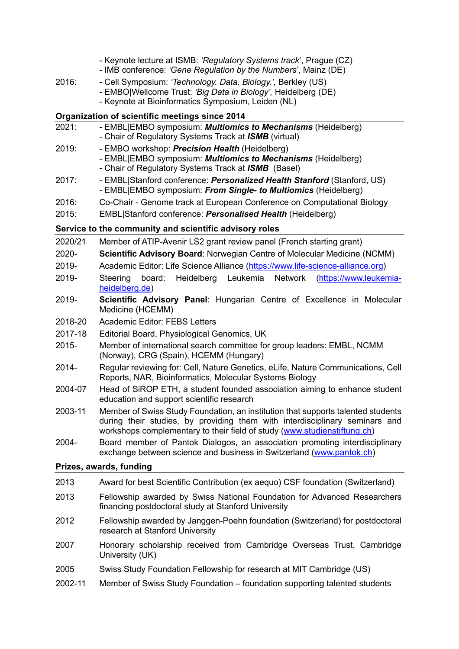|                         | - Keynote lecture at ISMB: 'Regulatory Systems track', Prague (CZ)<br>- IMB conference: 'Gene Regulation by the Numbers', Mainz (DE)                                                                                                        |  |  |  |
|-------------------------|---------------------------------------------------------------------------------------------------------------------------------------------------------------------------------------------------------------------------------------------|--|--|--|
| 2016:                   | - Cell Symposium: 'Technology. Data. Biology.', Berkley (US)<br>- EMBO Wellcome Trust: 'Big Data in Biology', Heidelberg (DE)                                                                                                               |  |  |  |
|                         | - Keynote at Bioinformatics Symposium, Leiden (NL)                                                                                                                                                                                          |  |  |  |
|                         | Organization of scientific meetings since 2014                                                                                                                                                                                              |  |  |  |
| 2021:                   | - EMBL EMBO symposium: <i>Multiomics to Mechanisms</i> (Heidelberg)<br>- Chair of Regulatory Systems Track at ISMB (virtual)                                                                                                                |  |  |  |
| 2019:                   | - EMBO workshop: Precision Health (Heidelberg)<br>- EMBL EMBO symposium: <i>Multiomics to Mechanisms</i> (Heidelberg)<br>- Chair of Regulatory Systems Track at <b>ISMB</b> (Basel)                                                         |  |  |  |
| 2017:                   | - EMBL Stanford conference: Personalized Health Stanford (Stanford, US)<br>- EMBL EMBO symposium: From Single- to Multiomics (Heidelberg)                                                                                                   |  |  |  |
| 2016:                   | Co-Chair - Genome track at European Conference on Computational Biology                                                                                                                                                                     |  |  |  |
| 2015:                   | EMBL Stanford conference: Personalised Health (Heidelberg)                                                                                                                                                                                  |  |  |  |
|                         | Service to the community and scientific advisory roles                                                                                                                                                                                      |  |  |  |
| 2020/21                 | Member of ATIP-Avenir LS2 grant review panel (French starting grant)                                                                                                                                                                        |  |  |  |
| 2020-                   | Scientific Advisory Board: Norwegian Centre of Molecular Medicine (NCMM)                                                                                                                                                                    |  |  |  |
| 2019-                   | Academic Editor: Life Science Alliance (https://www.life-science-alliance.org)                                                                                                                                                              |  |  |  |
| 2019-                   | Steering<br>board:<br>Heidelberg Leukemia<br>Network<br>(https://www.leukemia-<br>heidelberg.de)                                                                                                                                            |  |  |  |
| 2019-                   | Scientific Advisory Panel: Hungarian Centre of Excellence in Molecular<br>Medicine (HCEMM)                                                                                                                                                  |  |  |  |
| 2018-20                 | <b>Academic Editor: FEBS Letters</b>                                                                                                                                                                                                        |  |  |  |
| 2017-18                 | Editorial Board, Physiological Genomics, UK                                                                                                                                                                                                 |  |  |  |
| 2015-                   | Member of international search committee for group leaders: EMBL, NCMM<br>(Norway), CRG (Spain), HCEMM (Hungary)                                                                                                                            |  |  |  |
| 2014-                   | Regular reviewing for: Cell, Nature Genetics, eLife, Nature Communications, Cell<br>Reports, NAR, Bioinformatics, Molecular Systems Biology                                                                                                 |  |  |  |
| 2004-07                 | Head of SiROP ETH, a student founded association aiming to enhance student<br>education and support scientific research                                                                                                                     |  |  |  |
| 2003-11                 | Member of Swiss Study Foundation, an institution that supports talented students<br>during their studies, by providing them with interdisciplinary seminars and<br>workshops complementary to their field of study (www.studienstiftung.ch) |  |  |  |
| 2004-                   | Board member of Pantok Dialogos, an association promoting interdisciplinary<br>exchange between science and business in Switzerland (www.pantok.ch)                                                                                         |  |  |  |
| Prizes, awards, funding |                                                                                                                                                                                                                                             |  |  |  |
| 2013                    | Award for best Scientific Contribution (ex aequo) CSF foundation (Switzerland)                                                                                                                                                              |  |  |  |
| 2013                    | Fellowship awarded by Swiss National Foundation for Advanced Researchers<br>financing postdoctoral study at Stanford University                                                                                                             |  |  |  |
| 2012                    | Fellowship awarded by Janggen-Poehn foundation (Switzerland) for postdoctoral<br>research at Stanford University                                                                                                                            |  |  |  |
| 2007                    | Honorary scholarship received from Cambridge Overseas Trust, Cambridge<br>University (UK)                                                                                                                                                   |  |  |  |
| 2005                    | Swiss Study Foundation Fellowship for research at MIT Cambridge (US)                                                                                                                                                                        |  |  |  |
| 2002-11                 | Member of Swiss Study Foundation – foundation supporting talented students                                                                                                                                                                  |  |  |  |
|                         |                                                                                                                                                                                                                                             |  |  |  |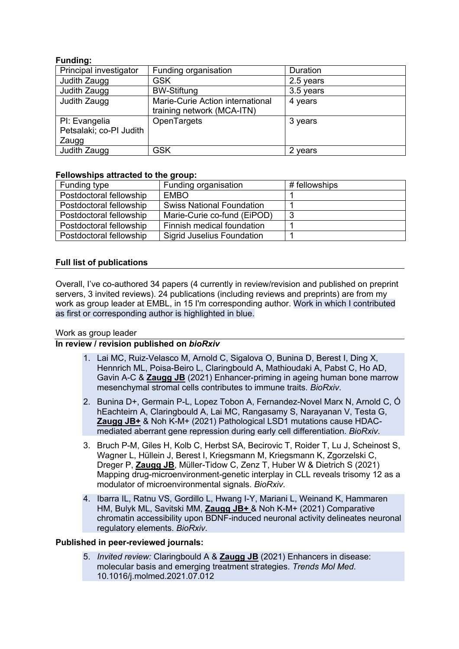# **Funding:**

| ------                  |                                  |           |
|-------------------------|----------------------------------|-----------|
| Principal investigator  | Funding organisation             | Duration  |
| Judith Zaugg            | <b>GSK</b>                       | 2.5 years |
| Judith Zaugg            | <b>BW-Stiftung</b>               | 3.5 years |
| Judith Zaugg            | Marie-Curie Action international | 4 years   |
|                         | training network (MCA-ITN)       |           |
| PI: Evangelia           | OpenTargets                      | 3 years   |
| Petsalaki; co-PI Judith |                                  |           |
| Zaugg                   |                                  |           |
| Judith Zaugg            | <b>GSK</b>                       | 2 years   |

## **Fellowships attracted to the group:**

| Funding type            | Funding organisation              | # fellowships |
|-------------------------|-----------------------------------|---------------|
| Postdoctoral fellowship | <b>EMBO</b>                       |               |
| Postdoctoral fellowship | <b>Swiss National Foundation</b>  |               |
| Postdoctoral fellowship | Marie-Curie co-fund (EiPOD)       | -3            |
| Postdoctoral fellowship | Finnish medical foundation        |               |
| Postdoctoral fellowship | <b>Sigrid Juselius Foundation</b> |               |

# **Full list of publications**

Overall, I've co-authored 34 papers (4 currently in review/revision and published on preprint servers, 3 invited reviews). 24 publications (including reviews and preprints) are from my work as group leader at EMBL, in 15 I'm corresponding author. Work in which I contributed as first or corresponding author is highlighted in blue.

## Work as group leader

## **In review / revision published on** *bioRxiv*

- 1. Lai MC, Ruiz-Velasco M, Arnold C, Sigalova O, Bunina D, Berest I, Ding X, Hennrich ML, Poisa-Beiro L, Claringbould A, Mathioudaki A, Pabst C, Ho AD, Gavin A-C & **Zaugg JB** (2021) Enhancer-priming in ageing human bone marrow mesenchymal stromal cells contributes to immune traits. *BioRxiv*.
- 2. Bunina D+, Germain P-L, Lopez Tobon A, Fernandez-Novel Marx N, Arnold C, Ó hEachteirn A, Claringbould A, Lai MC, Rangasamy S, Narayanan V, Testa G, **Zaugg JB+** & Noh K-M+ (2021) Pathological LSD1 mutations cause HDACmediated aberrant gene repression during early cell differentiation. *BioRxiv*.
- 3. Bruch P-M, Giles H, Kolb C, Herbst SA, Becirovic T, Roider T, Lu J, Scheinost S, Wagner L, Hüllein J, Berest I, Kriegsmann M, Kriegsmann K, Zgorzelski C, Dreger P, **Zaugg JB**, Müller-Tidow C, Zenz T, Huber W & Dietrich S (2021) Mapping drug-microenvironment-genetic interplay in CLL reveals trisomy 12 as a modulator of microenvironmental signals. *BioRxiv*.
- 4. Ibarra IL, Ratnu VS, Gordillo L, Hwang I-Y, Mariani L, Weinand K, Hammaren HM, Bulyk ML, Savitski MM, **Zaugg JB+** & Noh K-M+ (2021) Comparative chromatin accessibility upon BDNF-induced neuronal activity delineates neuronal regulatory elements. *BioRxiv*.

## **Published in peer-reviewed journals:**

5. *Invited review:* Claringbould A & **Zaugg JB** (2021) Enhancers in disease: molecular basis and emerging treatment strategies. *Trends Mol Med*. 10.1016/j.molmed.2021.07.012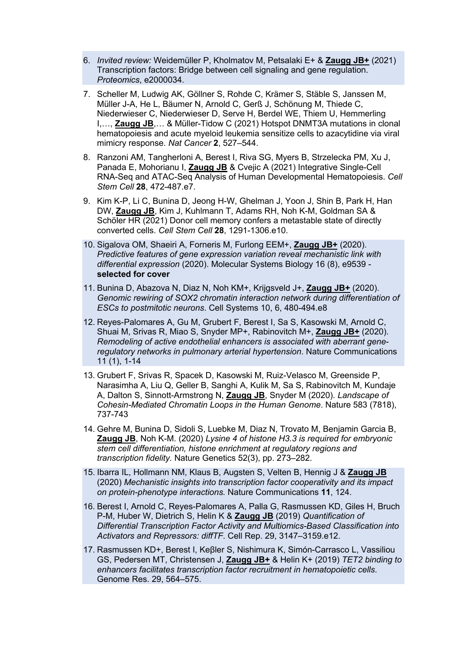- 6. *Invited review:* Weidemüller P, Kholmatov M, Petsalaki E+ & **Zaugg JB+** (2021) Transcription factors: Bridge between cell signaling and gene regulation. *Proteomics*, e2000034.
- 7. Scheller M, Ludwig AK, Göllner S, Rohde C, Krämer S, Stäble S, Janssen M, Müller J-A, He L, Bäumer N, Arnold C, Gerß J, Schönung M, Thiede C, Niederwieser C, Niederwieser D, Serve H, Berdel WE, Thiem U, Hemmerling I,…, **Zaugg JB**,… & Müller-Tidow C (2021) Hotspot DNMT3A mutations in clonal hematopoiesis and acute myeloid leukemia sensitize cells to azacytidine via viral mimicry response. *Nat Cancer* **2**, 527–544.
- 8. Ranzoni AM, Tangherloni A, Berest I, Riva SG, Myers B, Strzelecka PM, Xu J, Panada E, Mohorianu I, **Zaugg JB** & Cvejic A (2021) Integrative Single-Cell RNA-Seq and ATAC-Seq Analysis of Human Developmental Hematopoiesis. *Cell Stem Cell* **28**, 472-487.e7.
- 9. Kim K-P, Li C, Bunina D, Jeong H-W, Ghelman J, Yoon J, Shin B, Park H, Han DW, **Zaugg JB**, Kim J, Kuhlmann T, Adams RH, Noh K-M, Goldman SA & Schöler HR (2021) Donor cell memory confers a metastable state of directly converted cells. *Cell Stem Cell* **28**, 1291-1306.e10.
- 10. Sigalova OM, Shaeiri A, Forneris M, Furlong EEM+, **Zaugg JB+** (2020). *Predictive features of gene expression variation reveal mechanistic link with differential expression* (2020). Molecular Systems Biology 16 (8), e9539 **selected for cover**
- 11. Bunina D, Abazova N, Diaz N, Noh KM+, Krijgsveld J+, **Zaugg JB+** (2020). *Genomic rewiring of SOX2 chromatin interaction network during differentiation of ESCs to postmitotic neurons*. Cell Systems 10, 6, 480-494.e8
- 12. Reyes-Palomares A, Gu M, Grubert F, Berest I, Sa S, Kasowski M, Arnold C, Shuai M, Srivas R, Miao S, Snyder MP+, Rabinovitch M+, **Zaugg JB+** (2020). *Remodeling of active endothelial enhancers is associated with aberrant generegulatory networks in pulmonary arterial hypertension*. Nature Communications 11 (1), 1-14
- 13. Grubert F, Srivas R, Spacek D, Kasowski M, Ruiz-Velasco M, Greenside P, Narasimha A, Liu Q, Geller B, Sanghi A, Kulik M, Sa S, Rabinovitch M, Kundaje A, Dalton S, Sinnott-Armstrong N, **Zaugg JB**, Snyder M (2020). *Landscape of Cohesin-Mediated Chromatin Loops in the Human Genome*. Nature 583 (7818), 737-743
- 14. Gehre M, Bunina D, Sidoli S, Luebke M, Diaz N, Trovato M, Benjamin Garcia B, **Zaugg JB**, Noh K-M. (2020) *Lysine 4 of histone H3.3 is required for embryonic stem cell differentiation, histone enrichment at regulatory regions and transcription fidelity.* Nature Genetics 52(3), pp. 273–282.
- 15. Ibarra IL, Hollmann NM, Klaus B, Augsten S, Velten B, Hennig J & **Zaugg JB** (2020) *Mechanistic insights into transcription factor cooperativity and its impact on protein-phenotype interactions.* Nature Communications **11**, 124.
- 16. Berest I, Arnold C, Reyes-Palomares A, Palla G, Rasmussen KD, Giles H, Bruch P-M, Huber W, Dietrich S, Helin K & **Zaugg JB** (2019) *Quantification of Differential Transcription Factor Activity and Multiomics-Based Classification into Activators and Repressors: diffTF*. Cell Rep. 29, 3147–3159.e12.
- 17. Rasmussen KD+, Berest I, Keβler S, Nishimura K, Simón-Carrasco L, Vassiliou GS, Pedersen MT, Christensen J, **Zaugg JB+** & Helin K+ (2019) *TET2 binding to enhancers facilitates transcription factor recruitment in hematopoietic cells*. Genome Res. 29, 564–575.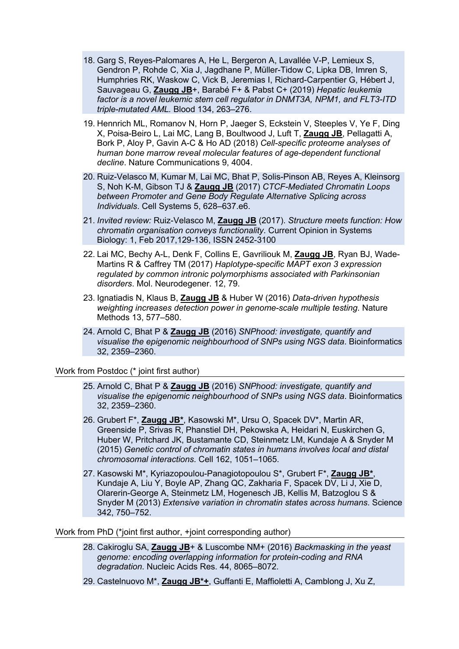- 18. Garg S, Reyes-Palomares A, He L, Bergeron A, Lavallée V-P, Lemieux S, Gendron P, Rohde C, Xia J, Jagdhane P, Müller-Tidow C, Lipka DB, Imren S, Humphries RK, Waskow C, Vick B, Jeremias I, Richard-Carpentier G, Hébert J, Sauvageau G, **Zaugg JB**+, Barabé F+ & Pabst C+ (2019) *Hepatic leukemia factor is a novel leukemic stem cell regulator in DNMT3A, NPM1, and FLT3-ITD triple-mutated AML.* Blood 134, 263–276.
- 19. Hennrich ML, Romanov N, Horn P, Jaeger S, Eckstein V, Steeples V, Ye F, Ding X, Poisa-Beiro L, Lai MC, Lang B, Boultwood J, Luft T, **Zaugg JB**, Pellagatti A, Bork P, Aloy P, Gavin A-C & Ho AD (2018) *Cell-specific proteome analyses of human bone marrow reveal molecular features of age-dependent functional decline*. Nature Communications 9, 4004.
- 20. Ruiz-Velasco M, Kumar M, Lai MC, Bhat P, Solis-Pinson AB, Reyes A, Kleinsorg S, Noh K-M, Gibson TJ & **Zaugg JB** (2017) *CTCF-Mediated Chromatin Loops between Promoter and Gene Body Regulate Alternative Splicing across Individuals*. Cell Systems 5, 628–637.e6.
- 21. *Invited review:* Ruiz-Velasco M, **Zaugg JB** (2017). *Structure meets function: How chromatin organisation conveys functionality*. Current Opinion in Systems Biology: 1, Feb 2017,129-136, ISSN 2452-3100
- 22. Lai MC, Bechy A-L, Denk F, Collins E, Gavriliouk M, **Zaugg JB**, Ryan BJ, Wade-Martins R & Caffrey TM (2017) *Haplotype-specific MAPT exon 3 expression regulated by common intronic polymorphisms associated with Parkinsonian disorders*. Mol. Neurodegener. 12, 79.
- 23. Ignatiadis N, Klaus B, **Zaugg JB** & Huber W (2016) *Data-driven hypothesis weighting increases detection power in genome-scale multiple testing*. Nature Methods 13, 577–580.
- 24. Arnold C, Bhat P & **Zaugg JB** (2016) *SNPhood: investigate, quantify and visualise the epigenomic neighbourhood of SNPs using NGS data*. Bioinformatics 32, 2359–2360.

### Work from Postdoc (\* joint first author)

- 25. Arnold C, Bhat P & **Zaugg JB** (2016) *SNPhood: investigate, quantify and visualise the epigenomic neighbourhood of SNPs using NGS data*. Bioinformatics 32, 2359–2360.
- 26. Grubert F\*, **Zaugg JB\***, Kasowski M\*, Ursu O, Spacek DV\*, Martin AR, Greenside P, Srivas R, Phanstiel DH, Pekowska A, Heidari N, Euskirchen G, Huber W, Pritchard JK, Bustamante CD, Steinmetz LM, Kundaje A & Snyder M (2015) *Genetic control of chromatin states in humans involves local and distal chromosomal interactions*. Cell 162, 1051–1065.
- 27. Kasowski M\*, Kyriazopoulou-Panagiotopoulou S\*, Grubert F\*, **Zaugg JB\***, Kundaje A, Liu Y, Boyle AP, Zhang QC, Zakharia F, Spacek DV, Li J, Xie D, Olarerin-George A, Steinmetz LM, Hogenesch JB, Kellis M, Batzoglou S & Snyder M (2013) *Extensive variation in chromatin states across humans*. Science 342, 750–752.

Work from PhD (\*joint first author, +joint corresponding author)

- 28. Cakiroglu SA, **Zaugg JB**+ & Luscombe NM+ (2016) *Backmasking in the yeast genome: encoding overlapping information for protein-coding and RNA degradation*. Nucleic Acids Res. 44, 8065–8072.
- 29. Castelnuovo M\*, **Zaugg JB\*+**, Guffanti E, Maffioletti A, Camblong J, Xu Z,